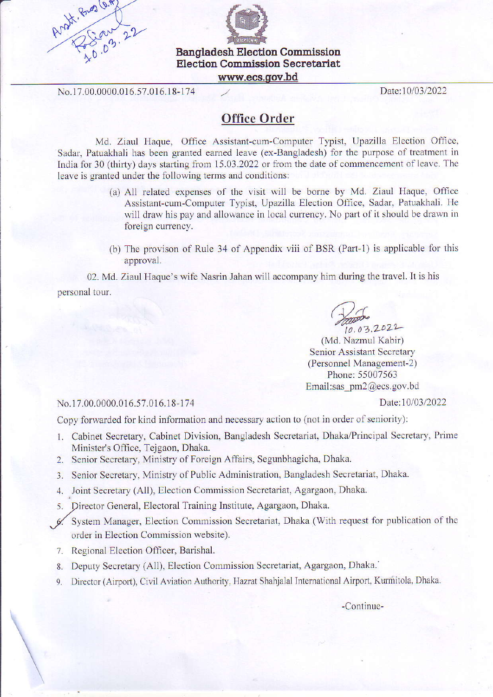



Election Commission Secretariat

www.ecs.qov.bd

No.17.00.0000.016.57.016.18-174

Date:10/03/2022

## Office Order

Md. Ziaul Haque, Office Assistant-cum-Computer Typist, Upazilla Election Office, Sadar, Patuakhali has been granted earned leave (ex-Bangladesh) for the purpose of treatment in India for 30 (thirty) days starting from 15.03.2022 or from the date of commencement of leave. The leave is granted under the following terms and conditions:

- (a) All related expenses of fie visit will be borne by Md. Ziaul Haque. Office Assistant-cum-Computer Typist, Upazilla Election Office, Sadar, Patuakhali. He will draw his pay and allowance in local currency. No part of it should be drawn in foreign currency.
- (b) The provison of Rule 34 of Appendix viii of BSR (Part-1) is applicable for this approval.

02. Md. Ziaul Haque's wife Nasrin Jahan will accompany him during the travel. It is his personal tour.

 $\omega$  $10.03.2022$ 

(Md. Nazmul Kabir) Senior Assistant Secretary (Personnel Management-2) Phone:55007563 Email;sas pm2@ecs.gov.bd

Date:10/03/2022

No.l 7.00.0000.016.57.016.18-174

Copy forwarded for kind information and necessary action to (not in order of seniority):

- L Cabinel Secretary, Cabinet Division, Bangladesh Secretariat, Dhaka/Principal Secretary, Prime Minister's Office, Tejgaon, Dhaka.
- 2. Senior Secretary, Ministry of Foreign Affairs, Segunbhagicha, Dhaka.
- 3. Senior Secretary, Ministry of Public Administration, Bangladesh Secretariat, Dhaka.
- 4. Joint Secretary (All), Election Commission Secretariat, Agargaon, Dhaka.
- 5. Director General, Electoral Training Institute, Agargaon, Dhaka.
- 6. System Manager, Election Commission Secretariat, Dhaka (With request for publication of the order in Election Commission website).
- 7. Regional Election Officer, Barishal.
- 8. Deputy Secretary (All), Election Commission Secretariat, Agargaon, Dhaka.'
- 9. Director (Airport), Civil Aviation Authority, Hazrat Shahjalal International Airport, Kurmitola, Dhaka.

-Continue-